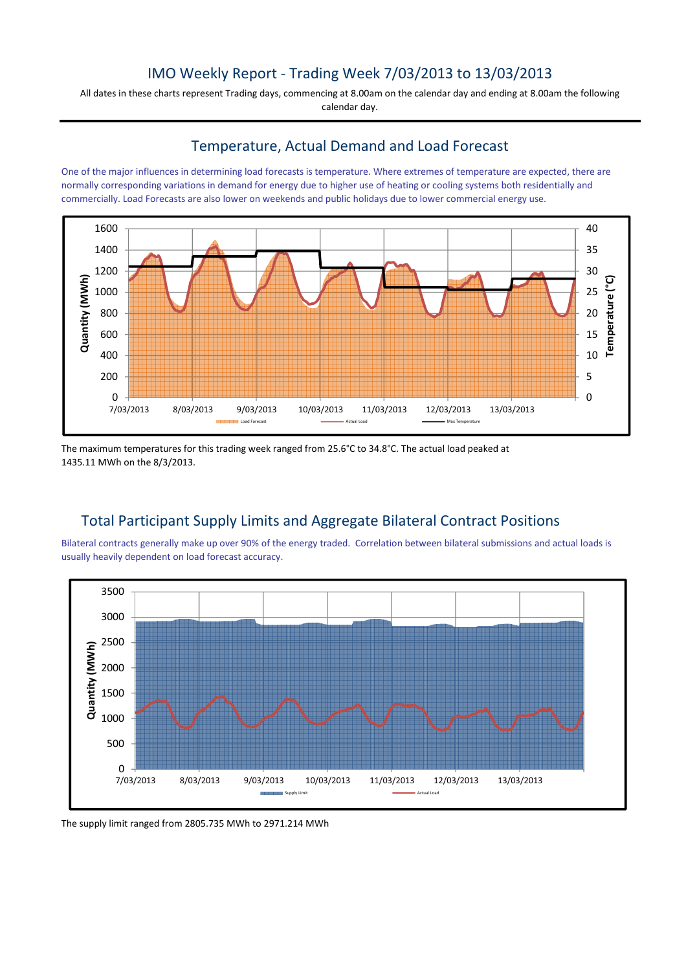## IMO Weekly Report - Trading Week 7/03/2013 to 13/03/2013

All dates in these charts represent Trading days, commencing at 8.00am on the calendar day and ending at 8.00am the following calendar day.

#### Temperature, Actual Demand and Load Forecast

One of the major influences in determining load forecasts is temperature. Where extremes of temperature are expected, there are normally corresponding variations in demand for energy due to higher use of heating or cooling systems both residentially and commercially. Load Forecasts are also lower on weekends and public holidays due to lower commercial energy use.



The maximum temperatures for this trading week ranged from 25.6°C to 34.8°C. The actual load peaked at 1435.11 MWh on the 8/3/2013.

# Total Participant Supply Limits and Aggregate Bilateral Contract Positions

Bilateral contracts generally make up over 90% of the energy traded. Correlation between bilateral submissions and actual loads is usually heavily dependent on load forecast accuracy.



The supply limit ranged from 2805.735 MWh to 2971.214 MWh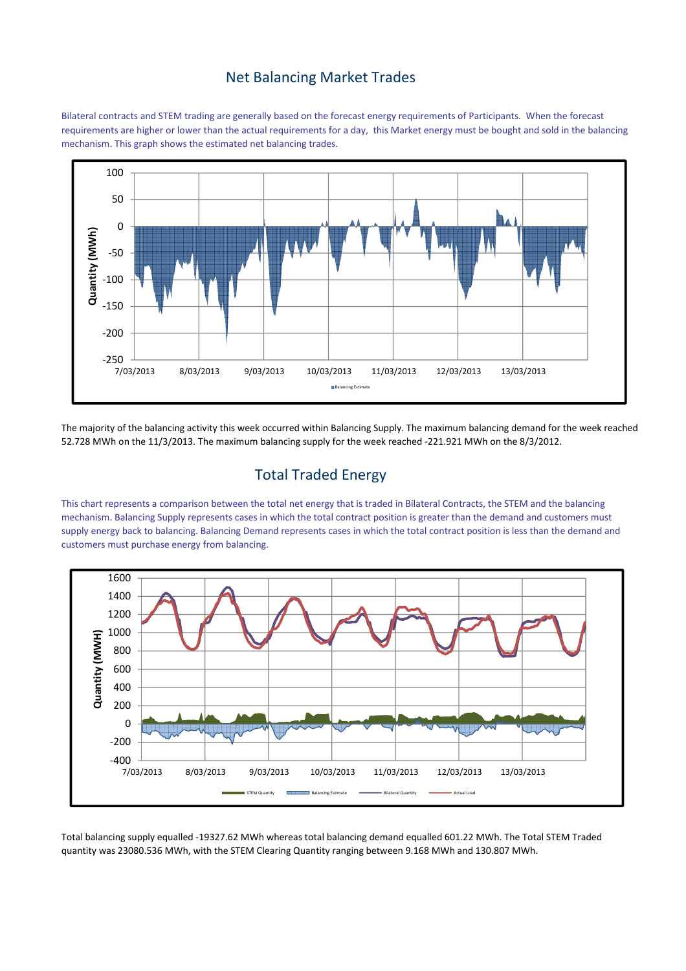#### Net Balancing Market Trades

Bilateral contracts and STEM trading are generally based on the forecast energy requirements of Participants. When the forecast requirements are higher or lower than the actual requirements for a day, this Market energy must be bought and sold in the balancing mechanism. This graph shows the estimated net balancing trades.



The majority of the balancing activity this week occurred within Balancing Supply. The maximum balancing demand for the week reached 52.728 MWh on the 11/3/2013. The maximum balancing supply for the week reached -221.921 MWh on the 8/3/2012.

# Total Traded Energy

This chart represents a comparison between the total net energy that is traded in Bilateral Contracts, the STEM and the balancing mechanism. Balancing Supply represents cases in which the total contract position is greater than the demand and customers must supply energy back to balancing. Balancing Demand represents cases in which the total contract position is less than the demand and customers must purchase energy from balancing.



Total balancing supply equalled -19327.62 MWh whereas total balancing demand equalled 601.22 MWh. The Total STEM Traded quantity was 23080.536 MWh, with the STEM Clearing Quantity ranging between 9.168 MWh and 130.807 MWh.